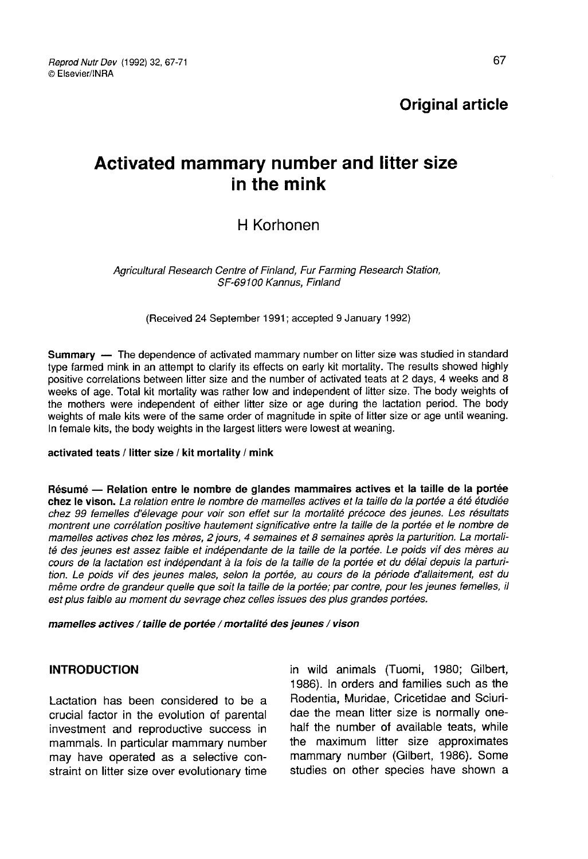Reprod Nutr Dev (1992) 32, 67-71 © Fisevier/INRA

Original article

# Activated mammary number and litter size in the mink

# H Korhonen

Agricultural Research Centre of Finland, Fur Farming Research Station, SF-69 100 Kannus, Finland

(Received 24 September 1991; accepted 9 January 1992)

Summary ― The dependence of activated mammary number on litter size was studied in standard type farmed mink in an attempt to clarify its effects on early kit mortality. The results showed highly positive correlations between litter size and the number of activated teats at 2 days, 4 weeks and 8 weeks of age. Total kit mortality was rather low and independent of litter size. The body weights of the mothers were independent of either litter size or age during the lactation period. The body weights of male kits were of the same order of magnitude in spite of litter size or age until weaning. In female kits, the body weights in the largest litters were lowest at weaning.

#### activated teats / litter size / kit mortality / mink

Résumé ― Relation entre le nombre de glandes mammaires actives et la taille de la portée chez le vison. La relation entre le nombre de mamelles actives et la taille de la portée a été étudiée chez 99 femelles d'élevage pour voir son effet sur la mortalité précoce des jeunes. Les résultats montrent une corrélation positive hautement significative entre la taille de la portée et le nombre de mamelles actives chez les mères, 2 jours, 4 semaines et 8 semaines après la parturition. La mortalité des jeunes est assez faible et indépendante de la taille de la portée. Le poids vif des mères au cours de la lactation est indépendant à la fois de la taille de la portée et du délai depuis la parturition. Le poids vif des jeunes males, selon la portée, au cours de la période d'allaitement, est du même ordre de grandeur quelle que soit la taille de la portée; par contre, pour les jeunes femelles, il est plus faible au moment du sevrage chez celles issues des plus grandes portées.

mamelles actives / taille de portée / mortalité des jeunes / vison

### **INTRODUCTION**

Lactation has been considered to be a crucial factor in the evolution of parental investment and reproductive success in mammals. In particular mammary number may have operated as a selective constraint on litter size over evolutionary time

in wild animals (Tuomi, 1980; Gilbert, 1986). In orders and families such as the Rodentia, Muridae, Cricetidae and Sciuridae the mean litter size is normally onehalf the number of available teats, while the maximum litter size approximates mammary number (Gilbert, 1986). Some studies on other species have shown a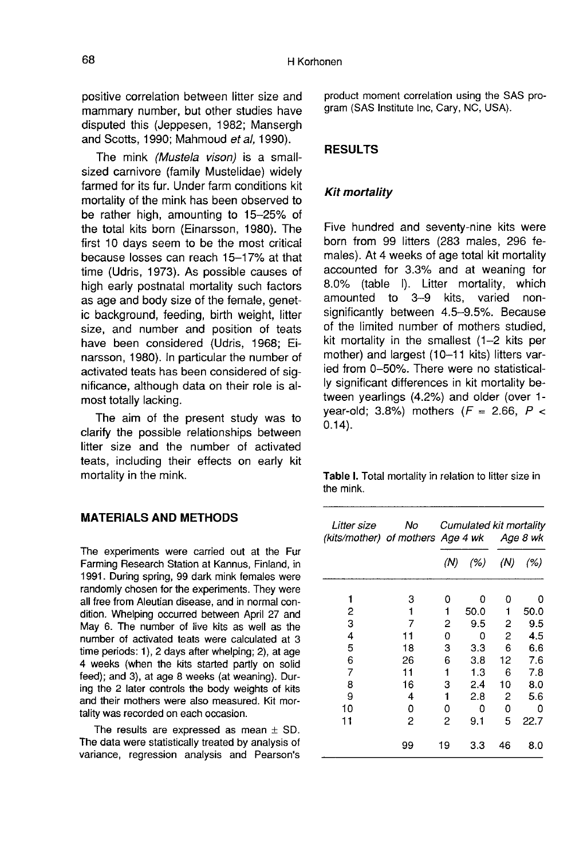positive correlation between litter size and mammary number, but other studies have disputed this (Jeppesen, 1982; Mansergh and Scotts, 1990; Mahmoud et al, 1990).

The mink (Mustela vison) is a smallsized carnivore (family Mustelidae) widely farmed for its fur. Under farm conditions kit mortality of the mink has been observed to be rather high, amounting to 15-25% of the total kits born (Einarsson, 1980). The first 10 days seem to be the most critical because losses can reach 15-17% at that time (Udris, 1973). As possible causes of high early postnatal mortality such factors as age and body size of the female, genetic background, feeding, birth weight, litter size, and number and position of teats have been considered (Udris, 1968; Einarsson, 1980). In particular the number of activated teats has been considered of significance, although data on their role is almost totally lacking.

The aim of the present study was to clarify the possible relationships between litter size and the number of activated teats, including their effects on early kit mortality in the mink.

## MATERIALS AND METHODS

The experiments were carried out at the Fur Farming Research Station at Kannus, Finland, in 1991. During spring, 99 dark mink females were randomly chosen for the experiments. They were all free from Aleutian disease, and in normal condition. Whelping occurred between April 27 and May 6. The number of live kits as well as the number of activated teats were calculated at 3 time periods: 1), 2 days after whelping; 2), at age 4 weeks (when the kits started partly on solid feed); and 3), at age 8 weeks (at weaning). During the 2 later controls the body weights of kits and their mothers were also measured. Kit mortality was recorded on each occasion.

The results are expressed as mean  $\pm$  SD. The data were statistically treated by analysis of variance, regression analysis and Pearson's product moment correlation using the SAS program (SAS Institute Inc, Cary, NC, USA).

#### RESULTS

#### Kit mortality

Five hundred and seventy-nine kits were born from 99 litters (283 males, 296 females). At 4 weeks of age total kit mortality accounted for 3.3% and at weaning for 8.0% (table I). Litter mortality, which amounted to 3-9 kits, varied nonsignificantly between 4.5-9.5%. Because of the limited number of mothers studied, kit mortality in the smallest (1-2 kits per mother) and largest (10-11 kits) litters varied from 0-50%. There were no statistically significant differences in kit mortality between yearlings (4.2%) and older (over 1 year-old; 3.8%) mothers  $(F = 2.66, P <$ 0.14).

Table I. Total mortality in relation to litter size in the mink.

| Litter size<br>(kits/mother) of mothers Age 4 wk | No |     |      | Cumulated kit mortality<br>Age 8 wk |      |
|--------------------------------------------------|----|-----|------|-------------------------------------|------|
|                                                  |    | (N) | (% ) | (N)                                 | (% ) |
| 1                                                | 3  | 0   | 0    | ٥                                   | o    |
| 2                                                | 1  | 1   | 50.0 | 1                                   | 50.0 |
| 3                                                | 7  | 2   | 9.5  | 2                                   | 9.5  |
| 4                                                | 11 | 0   | 0    | 2                                   | 4.5  |
| 5                                                | 18 | 3   | 3.3  | 6                                   | 6.6  |
| 6                                                | 26 | 6   | 3.8  | 12                                  | 7.6  |
| 7                                                | 11 | 1   | 1.3  | 6                                   | 7.8  |
| 8                                                | 16 | 3   | 2.4  | 10                                  | 8.0  |
| 9                                                | 4  | 1   | 2.8  | 2                                   | 5.6  |
| 10                                               | 0  | 0   | 0    | 0                                   | ٥    |
| 11                                               | 2  | 2   | 9.1  | 5                                   | 22.7 |
|                                                  | 99 | 19  | 3.3  | 46                                  | 8.0  |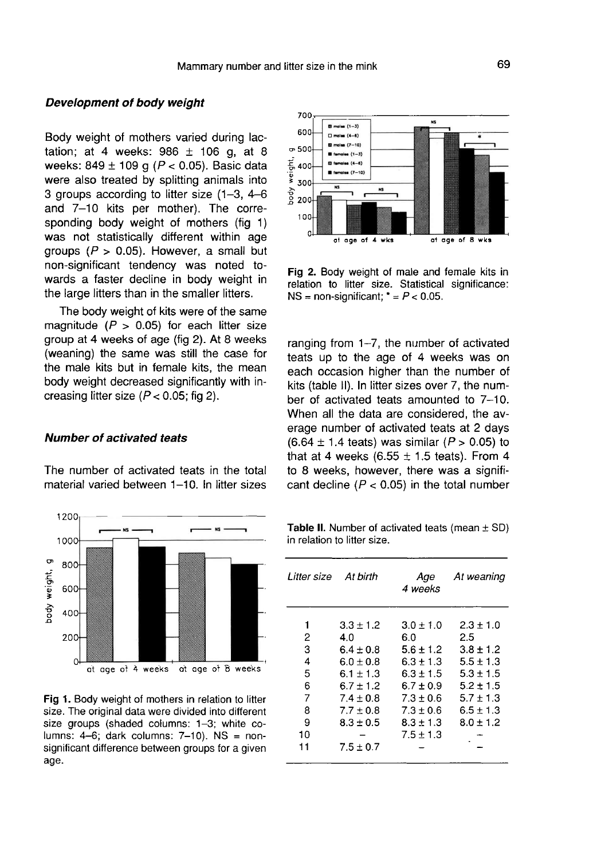#### Development of body weight

Body weight of mothers varied during lactation; at 4 weeks:  $986 \pm 106$  g, at 8 weeks: 849  $\pm$  109 g ( $P < 0.05$ ). Basic data were also treated by splitting animals into 3 groups according to litter size (1-3, 4-6 and 7-10 kits per mother). The corresponding body weight of mothers (fig 1) was not statistically different within age groups  $(P > 0.05)$ . However, a small but non-significant tendency was noted towards a faster decline in body weight in the large litters than in the smaller litters.

The body weight of kits were of the same magnitude ( $P > 0.05$ ) for each litter size group at 4 weeks of age (fig 2). At 8 weeks (weaning) the same was still the case for the male kits but in female kits, the mean body weight decreased significantly with increasing litter size  $(P < 0.05$ ; fig 2).

#### Number of activated teats

The number of activated teats in the total material varied between 1-10. In litter sizes



Fig 1. Body weight of mothers in relation to litter size. The original data were divided into different size groups (shaded columns: 1-3; white columns:  $4-6$ ; dark columns:  $7-10$ ). NS = nonsignificant difference between groups for a given age.



Fig 2. Body weight of male and female kits in relation to litter size. Statistical significance: NS = non-significant;  $* = P < 0.05$ .

ranging from 1-7, the number of activated teats up to the age of 4 weeks was on each occasion higher than the number of kits (table II). In litter sizes over 7, the number of activated teats amounted to 7-10. When all the data are considered, the average number of activated teats at 2 days  $(6.64 \pm 1.4 \text{ tests})$  was similar  $(P > 0.05)$  to that at 4 weeks (6.55  $\pm$  1.5 teats). From 4 to 8 weeks, however, there was a significant decline ( $P < 0.05$ ) in the total number

Table II. Number of activated teats (mean  $\pm$  SD) in relation to litter size.

| Litter size | At birth      | Aae<br>4 weeks | At weaning    |
|-------------|---------------|----------------|---------------|
| 1           | $3.3 \pm 1.2$ | $3.0 \pm 1.0$  | $2.3 + 1.0$   |
| 2           | 4.0           | 6.0            | 2.5           |
| 3           | $6.4 \pm 0.8$ | $5.6 \pm 1.2$  | $3.8 \pm 1.2$ |
| 4           | $6.0 + 0.8$   | $6.3 + 1.3$    | $5.5 \pm 1.3$ |
| 5           | $6.1 + 1.3$   | $6.3 + 1.5$    | $5.3 + 1.5$   |
| 6           | $6.7 \pm 1.2$ | $6.7 + 0.9$    | $5.2 + 1.5$   |
| 7           | $7.4 \pm 0.8$ | $7.3 \pm 0.6$  | $5.7 \pm 1.3$ |
| 8           | $7.7 + 0.8$   | $7.3 \pm 0.6$  | $6.5 \pm 1.3$ |
| 9           | $8.3 \pm 0.5$ | $8.3 \pm 1.3$  | $8.0 \pm 1.2$ |
| 10          |               | $7.5 + 1.3$    |               |
| 11          | $7.5 \pm 0.7$ |                |               |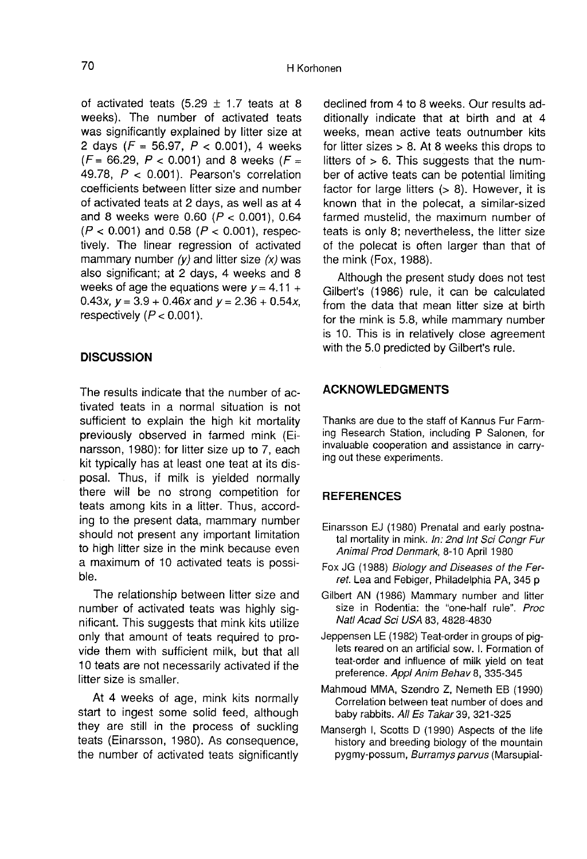of activated teats  $(5.29 \pm 1.7)$  teats at 8 weeks). The number of activated teats was significantly explained by litter size at 2 days  $(F = 56.97, P < 0.001)$ , 4 weeks  $(F = 66.29, P < 0.001)$  and 8 weeks  $(F =$ 49.78,  $P < 0.001$ ). Pearson's correlation coefficients between litter size and number of activated teats at 2 days, as well as at 4 and 8 weeks were  $0.60$  ( $P < 0.001$ ), 0.64  $(P < 0.001)$  and 0.58  $(P < 0.001)$ , respectively. The linear regression of activated mammary number  $(y)$  and litter size  $(x)$  was also significant; at 2 days, 4 weeks and 8 weeks of age the equations were  $y = 4.11 +$ 0.43x,  $y = 3.9 + 0.46x$  and  $y = 2.36 + 0.54x$ , respectively  $(P < 0.001)$ .

#### **DISCUSSION**

The results indicate that the number of activated teats in a normal situation is not sufficient to explain the high kit mortality previously observed in farmed mink (Einarsson, 1980): for litter size up to 7, each kit typically has at least one teat at its disposal. Thus, if milk is yielded normally there will be no strong competition for teats among kits in a litter. Thus, according to the present data, mammary number should not present any important limitation to high litter size in the mink because even a maximum of 10 activated teats is possible.

The relationship between litter size and number of activated teats was highly significant. This suggests that mink kits utilize only that amount of teats required to provide them with sufficient milk, but that all 10 teats are not necessarily activated if the litter size is smaller.

At 4 weeks of age, mink kits normally start to ingest some solid feed, although they are still in the process of suckling teats (Einarsson, 1980). As consequence, the number of activated teats significantly

declined from 4 to 8 weeks. Our results additionally indicate that at birth and at 4 weeks, mean active teats outnumber kits for litter sizes  $> 8$ . At 8 weeks this drops to litters of  $> 6$ . This suggests that the number of active teats can be potential limiting factor for large litters  $(> 8)$ . However, it is known that in the polecat, a similar-sized farmed mustelid, the maximum number of teats is only 8; nevertheless, the litter size of the polecat is often larger than that of the mink (Fox, 1988).

Although the present study does not test Gilbert's (1986) rule, it can be calculated from the data that mean litter size at birth for the mink is 5.8, while mammary number is 10. This is in relatively close agreement with the 5.0 predicted by Gilbert's rule.

#### ACKNOWLEDGMENTS

Thanks are due to the staff of Kannus Fur Farming Research Station, including P Salonen, for invaluable cooperation and assistance in carrying out these experiments.

#### **REFERENCES**

- Einarsson EJ (1980) Prenatal and early postnatal mortality in mink. In: 2nd Int Sci Congr Fur Animal Prod Denmark, 8-10 April 1980
- Fox JG (1988) Biology and Diseases of the Ferret. Lea and Febiger, Philadelphia PA, 345 p
- Gilbert AN (1986) Mammary number and litter size in Rodentia: the "one-half rule". Proc Natl Acad Sci USA 83, 4828-4830
- Jeppensen LE (1982) Teat-order in groups of piglets reared on an artificial sow. I. Formation of teat-order and influence of milk yield on teat preference. Appl Anim Behav 8, 335-345
- Mahmoud MMA, Szendro Z, Nemeth EB (1990) Correlation between teat number of does and baby rabbits. All Es Takar 39, 321-325
- Mansergh I, Scotts D (1990) Aspects of the life history and breeding biology of the mountain pygmy-possum, Burramys parvus (Marsupial-